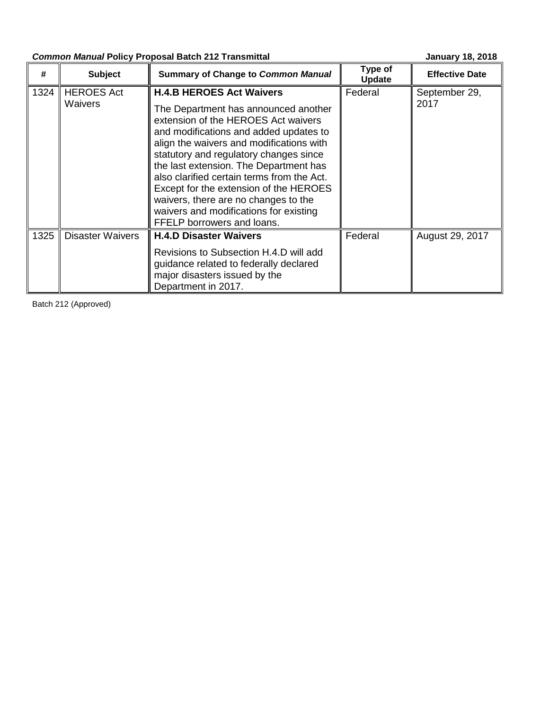# **Common Manual Policy Proposal Batch 212 Transmittal <b>Common Manuary 18, 2018**

| #    | <b>Subject</b>               | <b>Summary of Change to Common Manual</b>                                                                                                                                                                                                                                                                                                                                                                                                                                                        | Type of<br><b>Update</b> | <b>Effective Date</b> |  |
|------|------------------------------|--------------------------------------------------------------------------------------------------------------------------------------------------------------------------------------------------------------------------------------------------------------------------------------------------------------------------------------------------------------------------------------------------------------------------------------------------------------------------------------------------|--------------------------|-----------------------|--|
| 1324 | <b>HEROES Act</b><br>Waivers | <b>H.4.B HEROES Act Waivers</b><br>The Department has announced another<br>extension of the HEROES Act waivers<br>and modifications and added updates to<br>align the waivers and modifications with<br>statutory and regulatory changes since<br>the last extension. The Department has<br>also clarified certain terms from the Act.<br>Except for the extension of the HEROES<br>waivers, there are no changes to the<br>waivers and modifications for existing<br>FFELP borrowers and loans. | Federal                  | September 29,<br>2017 |  |
| 1325 | <b>Disaster Waivers</b>      | <b>H.4.D Disaster Waivers</b><br>Revisions to Subsection H.4.D will add<br>guidance related to federally declared<br>major disasters issued by the<br>Department in 2017.                                                                                                                                                                                                                                                                                                                        | Federal                  | August 29, 2017       |  |

Batch 212 (Approved)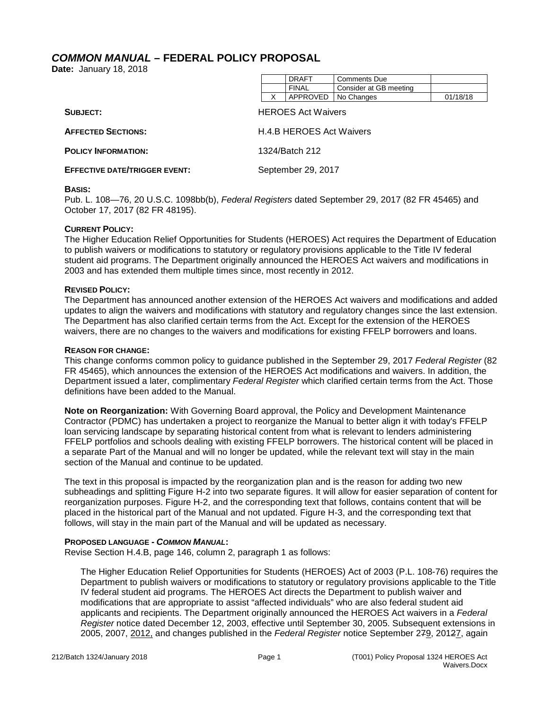# <span id="page-1-0"></span>*COMMON MANUAL* **– FEDERAL POLICY PROPOSAL**

**Date:** January 18, 2018

| <b>DRAFT</b> | <b>Comments Due</b>    |          |
|--------------|------------------------|----------|
| <b>FINAL</b> | Consider at GB meeting |          |
| APPROVED     | No Changes             | 01/18/18 |

| SUBJECT:                             | <b>HEROES Act Waivers</b> |
|--------------------------------------|---------------------------|
| <b>AFFECTED SECTIONS:</b>            | H.4.B HEROES Act Waivers  |
| <b>POLICY INFORMATION:</b>           | 1324/Batch 212            |
| <b>EFFECTIVE DATE/TRIGGER EVENT:</b> | September 29, 2017        |

#### **BASIS:**

Pub. L. 108—76, 20 U.S.C. 1098bb(b), *Federal Registers* dated September 29, 2017 (82 FR 45465) and October 17, 2017 (82 FR 48195).

#### **CURRENT POLICY:**

The Higher Education Relief Opportunities for Students (HEROES) Act requires the Department of Education to publish waivers or modifications to statutory or regulatory provisions applicable to the Title IV federal student aid programs. The Department originally announced the HEROES Act waivers and modifications in 2003 and has extended them multiple times since, most recently in 2012.

## **REVISED POLICY:**

The Department has announced another extension of the HEROES Act waivers and modifications and added updates to align the waivers and modifications with statutory and regulatory changes since the last extension. The Department has also clarified certain terms from the Act. Except for the extension of the HEROES waivers, there are no changes to the waivers and modifications for existing FFELP borrowers and loans.

#### **REASON FOR CHANGE:**

This change conforms common policy to guidance published in the September 29, 2017 *Federal Register* (82 FR 45465), which announces the extension of the HEROES Act modifications and waivers. In addition, the Department issued a later, complimentary *Federal Register* which clarified certain terms from the Act. Those definitions have been added to the Manual.

**Note on Reorganization:** With Governing Board approval, the Policy and Development Maintenance Contractor (PDMC) has undertaken a project to reorganize the Manual to better align it with today's FFELP loan servicing landscape by separating historical content from what is relevant to lenders administering FFELP portfolios and schools dealing with existing FFELP borrowers. The historical content will be placed in a separate Part of the Manual and will no longer be updated, while the relevant text will stay in the main section of the Manual and continue to be updated.

The text in this proposal is impacted by the reorganization plan and is the reason for adding two new subheadings and splitting Figure H-2 into two separate figures. It will allow for easier separation of content for reorganization purposes. Figure H-2, and the corresponding text that follows, contains content that will be placed in the historical part of the Manual and not updated. Figure H-3, and the corresponding text that follows, will stay in the main part of the Manual and will be updated as necessary.

## **PROPOSED LANGUAGE -** *COMMON MANUAL***:**

Revise Section H.4.B, page 146, column 2, paragraph 1 as follows:

The Higher Education Relief Opportunities for Students (HEROES) Act of 2003 (P.L. 108-76) requires the Department to publish waivers or modifications to statutory or regulatory provisions applicable to the Title IV federal student aid programs. The HEROES Act directs the Department to publish waiver and modifications that are appropriate to assist "affected individuals" who are also federal student aid applicants and recipients. The Department originally announced the HEROES Act waivers in a *Federal Register* notice dated December 12, 2003, effective until September 30, 2005. Subsequent extensions in 2005, 2007, 2012, and changes published in the *Federal Register* notice September 279, 20127, again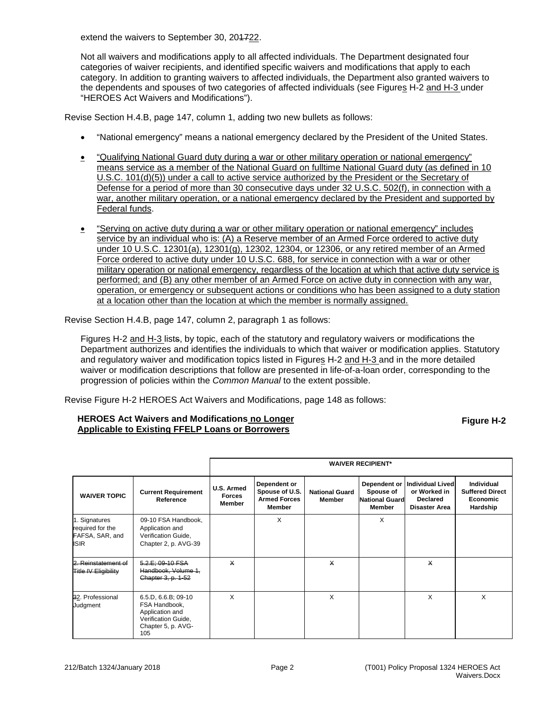extend the waivers to September 30, 201722.

Not all waivers and modifications apply to all affected individuals. The Department designated four categories of waiver recipients, and identified specific waivers and modifications that apply to each category. In addition to granting waivers to affected individuals, the Department also granted waivers to the dependents and spouses of two categories of affected individuals (see Figures H-2 and H-3 under "HEROES Act Waivers and Modifications").

Revise Section H.4.B, page 147, column 1, adding two new bullets as follows:

- "National emergency" means a national emergency declared by the President of the United States.
- "Qualifying National Guard duty during a war or other military operation or national emergency" means service as a member of the National Guard on fulltime National Guard duty (as defined in 10 U.S.C. 101(d)(5)) under a call to active service authorized by the President or the Secretary of Defense for a period of more than 30 consecutive days under 32 U.S.C. 502(f), in connection with a war, another military operation, or a national emergency declared by the President and supported by Federal funds.
- "Serving on active duty during a war or other military operation or national emergency" includes service by an individual who is: (A) a Reserve member of an Armed Force ordered to active duty under 10 U.S.C. 12301(a), 12301(g), 12302, 12304, or 12306, or any retired member of an Armed Force ordered to active duty under 10 U.S.C. 688, for service in connection with a war or other military operation or national emergency, regardless of the location at which that active duty service is performed; and (B) any other member of an Armed Force on active duty in connection with any war, operation, or emergency or subsequent actions or conditions who has been assigned to a duty station at a location other than the location at which the member is normally assigned.

Revise Section H.4.B, page 147, column 2, paragraph 1 as follows:

Figures H-2 and H-3 lists, by topic, each of the statutory and regulatory waivers or modifications the Department authorizes and identifies the individuals to which that waiver or modification applies. Statutory and regulatory waiver and modification topics listed in Figures H-2 and H-3 and in the more detailed waiver or modification descriptions that follow are presented in life-of-a-loan order, corresponding to the progression of policies within the *Common Manual* to the extent possible.

Revise Figure H-2 HEROES Act Waivers and Modifications, page 148 as follows:

## **HEROES Act Waivers and Modifications no Longer Applicable to Existing FFELP Loans or Borrowers**

**Figure H-2**

|                                                                     |                                                                                                             | <b>WAIVER RECIPIENT*</b>              |                                                                 |                                 |                                                              |                                                                             |                                                              |
|---------------------------------------------------------------------|-------------------------------------------------------------------------------------------------------------|---------------------------------------|-----------------------------------------------------------------|---------------------------------|--------------------------------------------------------------|-----------------------------------------------------------------------------|--------------------------------------------------------------|
| <b>WAIVER TOPIC</b>                                                 | <b>Current Requirement</b><br>Reference                                                                     | U.S. Armed<br><b>Forces</b><br>Member | Dependent or<br>Spouse of U.S.<br><b>Armed Forces</b><br>Member | <b>National Guard</b><br>Member | Dependent or<br>Spouse of<br><b>National Guard</b><br>Member | <b>Individual Lived</b><br>or Worked in<br>Declared<br><b>Disaster Area</b> | Individual<br><b>Suffered Direct</b><br>Economic<br>Hardship |
| 1. Signatures<br>required for the<br>FAFSA, SAR, and<br><b>ISIR</b> | 09-10 FSA Handbook,<br>Application and<br>Verification Guide,<br>Chapter 2, p. AVG-39                       |                                       | X                                                               |                                 | X                                                            |                                                                             |                                                              |
| 2. Reinstatement of<br><b>Title IV Eligibility</b>                  | 5.2.E; 09-10 FSA<br>Handbook, Volume 1,<br>Chapter 3, p. 1-52                                               | $\times$                              |                                                                 | $\times$                        |                                                              | $\boldsymbol{\mathsf{x}}$                                                   |                                                              |
| 32. Professional<br>Judgment                                        | 6.5.D, 6.6.B; 09-10<br>FSA Handbook,<br>Application and<br>Verification Guide,<br>Chapter 5, p. AVG-<br>105 | X                                     |                                                                 | X                               |                                                              | X                                                                           | $\times$                                                     |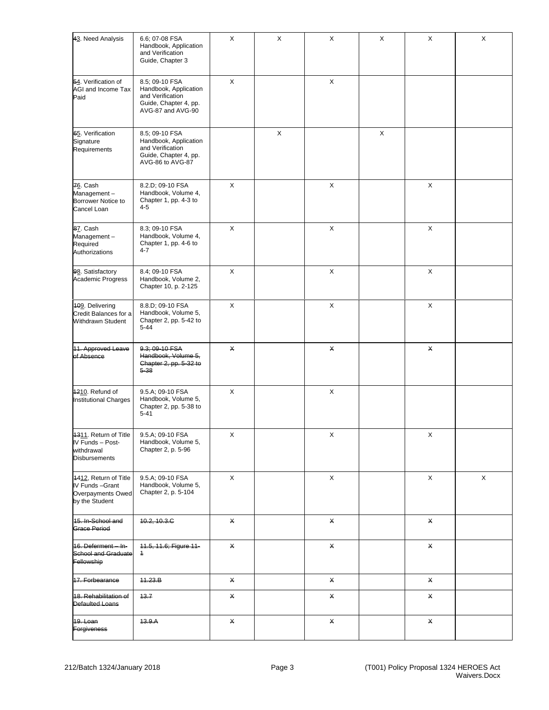| 43. Need Analysis                                                               | 6.6; 07-08 FSA<br>Handbook, Application<br>and Verification<br>Guide, Chapter 3                           | $\pmb{\times}$ | $\mathsf X$    | X           | $\mathsf X$ | X | X |
|---------------------------------------------------------------------------------|-----------------------------------------------------------------------------------------------------------|----------------|----------------|-------------|-------------|---|---|
| 54. Verification of<br>AGI and Income Tax<br>Paid                               | 8.5; 09-10 FSA<br>Handbook, Application<br>and Verification<br>Guide, Chapter 4, pp.<br>AVG-87 and AVG-90 | $\pmb{\times}$ |                | $\mathsf X$ |             |   |   |
| 65. Verification<br>Signature<br>Requirements                                   | 8.5; 09-10 FSA<br>Handbook, Application<br>and Verification<br>Guide, Chapter 4, pp.<br>AVG-86 to AVG-87  |                | $\pmb{\times}$ |             | X           |   |   |
| 76. Cash<br>Management-<br>Borrower Notice to<br>Cancel Loan                    | 8.2.D; 09-10 FSA<br>Handbook, Volume 4,<br>Chapter 1, pp. 4-3 to<br>$4 - 5$                               | $\pmb{\times}$ |                | X           |             | X |   |
| 87. Cash<br>Management-<br>Required<br>Authorizations                           | 8.3; 09-10 FSA<br>Handbook, Volume 4,<br>Chapter 1, pp. 4-6 to<br>4-7                                     | $\pmb{\times}$ |                | X           |             | X |   |
| 98. Satisfactory<br>Academic Progress                                           | 8.4; 09-10 FSA<br>Handbook, Volume 2,<br>Chapter 10, p. 2-125                                             | X              |                | X           |             | X |   |
| 409. Delivering<br>Credit Balances for a<br>Withdrawn Student                   | 8.8.D; 09-10 FSA<br>Handbook, Volume 5,<br>Chapter 2, pp. 5-42 to<br>$5 - 44$                             | $\pmb{\times}$ |                | X           |             | X |   |
| 11. Approved Leave<br>of Absence                                                | 9.3; 09-10 FSA<br>Handbook, Volume 5,<br>Chapter 2, pp. 5-32 to<br>$5 - 38$                               | $\pmb{\times}$ |                | X           |             | X |   |
| 1210. Refund of<br><b>Institutional Charges</b>                                 | 9.5.A; 09-10 FSA<br>Handbook, Volume 5,<br>Chapter 2, pp. 5-38 to<br>$5 - 41$                             | $\pmb{\times}$ |                | $\mathsf X$ |             |   |   |
| 1311. Return of Title<br>IV Funds - Post-<br>withdrawal<br><b>Disbursements</b> | 9.5.A; 09-10 FSA<br>Handbook, Volume 5,<br>Chapter 2, p. 5-96                                             | х              |                | X           |             | X |   |
| 4412, Return of Title<br>IV Funds-Grant<br>Overpayments Owed<br>by the Student  | 9.5.A; 09-10 FSA<br>Handbook, Volume 5,<br>Chapter 2, p. 5-104                                            | X              |                | X           |             | X | X |
| 15. In-School and<br>Grace Period                                               | 10.2, 10.3.C                                                                                              | $\times$       |                | X           |             | X |   |
| 16. Deferment - In-<br><b>School and Graduate</b><br>Fellowship                 | 11.5, 11.6; Figure 11-<br>$\overline{1}$                                                                  | $\times$       |                | X           |             | X |   |
| 17. Forbearance                                                                 | 11.23.B                                                                                                   | $\times$       |                | X           |             | X |   |
| 18. Rehabilitation of<br>Defaulted Loans                                        | 43.7                                                                                                      | $\times$       |                | X           |             | X |   |
| 19. Loan<br><b>Forgiveness</b>                                                  | 13.9.A                                                                                                    | X              |                | X           |             | X |   |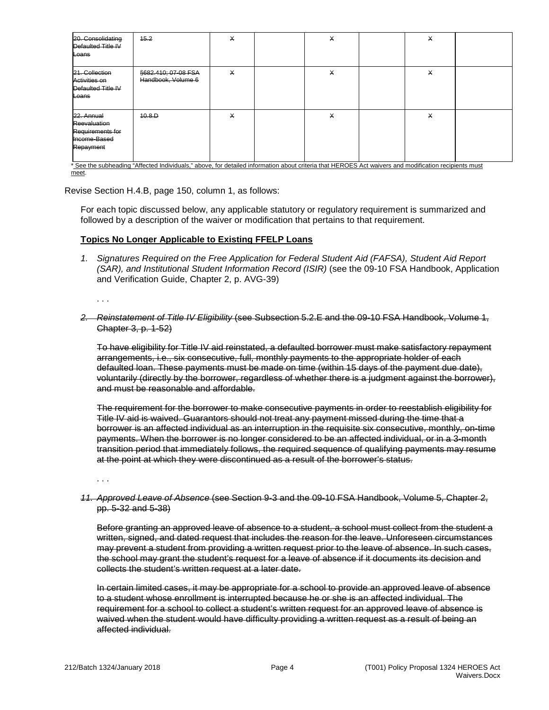| 20. Consolidating<br>Defaulted Title IV<br>Loans                            | 45.2                                      | X        | X | X |  |
|-----------------------------------------------------------------------------|-------------------------------------------|----------|---|---|--|
| 21. Collection<br>Activities on<br>Defaulted Title IV<br>Loans              | §682.410; 07-08 FSA<br>Handbook, Volume 6 | $\times$ | X | X |  |
| 22. Annual<br>Reevaluation<br>Requirements for<br>Income-Based<br>Repayment | 40.8.D                                    | X        | X | X |  |

meet.

Revise Section H.4.B, page 150, column 1, as follows:

For each topic discussed below, any applicable statutory or regulatory requirement is summarized and followed by a description of the waiver or modification that pertains to that requirement.

## **Topics No Longer Applicable to Existing FFELP Loans**

*1. Signatures Required on the Free Application for Federal Student Aid (FAFSA), Student Aid Report (SAR), and Institutional Student Information Record (ISIR)* (see the 09-10 FSA Handbook, Application and Verification Guide, Chapter 2, p. AVG-39)

. . .

*2. Reinstatement of Title IV Eligibility* (see Subsection 5.2.E and the 09-10 FSA Handbook, Volume 1, Chapter 3, p. 1-52)

To have eligibility for Title IV aid reinstated, a defaulted borrower must make satisfactory repayment arrangements, i.e., six consecutive, full, monthly payments to the appropriate holder of each defaulted loan. These payments must be made on time (within 15 days of the payment due date), voluntarily (directly by the borrower, regardless of whether there is a judgment against the borrower), and must be reasonable and affordable.

The requirement for the borrower to make consecutive payments in order to reestablish eligibility for Title IV aid is waived. Guarantors should not treat any payment missed during the time that a borrower is an affected individual as an interruption in the requisite six consecutive, monthly, on-time payments. When the borrower is no longer considered to be an affected individual, or in a 3-month transition period that immediately follows, the required sequence of qualifying payments may resume at the point at which they were discontinued as a result of the borrower's status.

. . .

*11. Approved Leave of Absence* (see Section 9-3 and the 09-10 FSA Handbook, Volume 5, Chapter 2, pp. 5-32 and 5-38)

Before granting an approved leave of absence to a student, a school must collect from the student a written, signed, and dated request that includes the reason for the leave. Unforeseen circumstances may prevent a student from providing a written request prior to the leave of absence. In such cases, the school may grant the student's request for a leave of absence if it documents its decision and collects the student's written request at a later date.

In certain limited cases, it may be appropriate for a school to provide an approved leave of absence to a student whose enrollment is interrupted because he or she is an affected individual. The requirement for a school to collect a student's written request for an approved leave of absence is waived when the student would have difficulty providing a written request as a result of being an affected individual.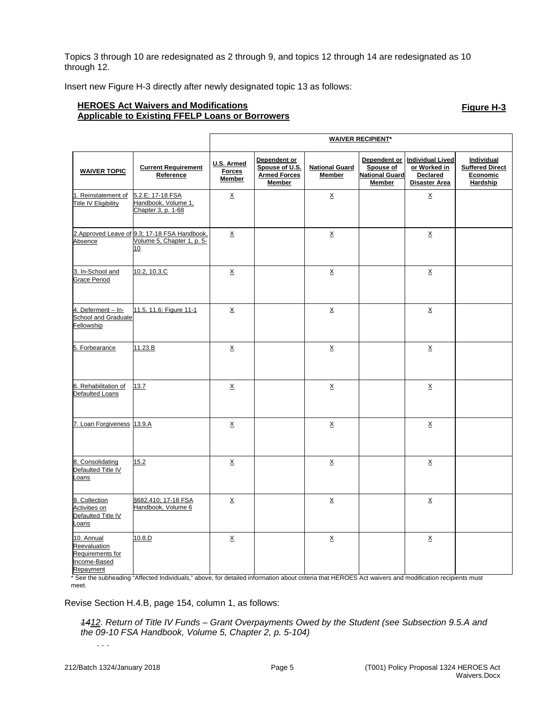Topics 3 through 10 are redesignated as 2 through 9, and topics 12 through 14 are redesignated as 10 through 12.

Insert new Figure H-3 directly after newly designated topic 13 as follows:

# **HEROES Act Waivers and Modifications Applicable to Existing FFELP Loans or Borrowers**

**Figure H-3**

|                                                                             |                                                                                   | <b>WAIVER RECIPIENT*</b>              |                                                                 |                                 |                                              |                                                                            |                                                                     |
|-----------------------------------------------------------------------------|-----------------------------------------------------------------------------------|---------------------------------------|-----------------------------------------------------------------|---------------------------------|----------------------------------------------|----------------------------------------------------------------------------|---------------------------------------------------------------------|
| <b>WAIVER TOPIC</b>                                                         | <b>Current Requirement</b><br>Reference                                           | U.S. Armed<br><b>Forces</b><br>Member | Dependent or<br>Spouse of U.S.<br><b>Armed Forces</b><br>Member | <b>National Guard</b><br>Member | Spouse of<br><b>National Guard</b><br>Member | Dependent or Individual Lived<br>or Worked in<br>Declared<br>Disaster Area | <b>Individual</b><br><b>Suffered Direct</b><br>Economic<br>Hardship |
| 1. Reinstatement of<br>Title IV Eligibility                                 | 5.2.E; 17-18 FSA<br>Handbook, Volume 1,<br>Chapter 3, p. 1-68                     | $\underline{\mathsf{X}}$              |                                                                 | $\underline{\mathsf{X}}$        |                                              | $\underline{X}$                                                            |                                                                     |
| Absence                                                                     | 2. Approved Leave of 9.3; 17-18 FSA Handbook,<br>Volume 5, Chapter 1, p. 5-<br>10 | $\underline{X}$                       |                                                                 | X                               |                                              | $\times$                                                                   |                                                                     |
| 3. In-School and<br><b>Grace Period</b>                                     | 10.2, 10.3.C                                                                      | $\underline{x}$                       |                                                                 | X                               |                                              | $\times$                                                                   |                                                                     |
| 4. Deferment - In-<br>School and Graduate<br>Fellowship                     | 11.5, 11.6; Figure 11-1                                                           | $\underline{X}$                       |                                                                 | $\underline{X}$                 |                                              | $\underline{X}$                                                            |                                                                     |
| 5. Forbearance                                                              | 11.23.B                                                                           | $\underline{X}$                       |                                                                 | $\underline{X}$                 |                                              | $\underline{X}$                                                            |                                                                     |
| 6. Rehabilitation of<br>Defaulted Loans                                     | 13.7                                                                              | X                                     |                                                                 | X                               |                                              | X                                                                          |                                                                     |
| 7. Loan Forgiveness 13.9.A                                                  |                                                                                   | X                                     |                                                                 | <u>x</u>                        |                                              | X                                                                          |                                                                     |
| 8. Consolidating<br>Defaulted Title IV<br>Loans                             | 15.2                                                                              | $\underline{X}$                       |                                                                 | $\underline{X}$                 |                                              | $\underline{X}$                                                            |                                                                     |
| 9. Collection<br>Activities on<br>Defaulted Title IV<br>Loans               | §682.410; 17-18 FSA<br>Handbook, Volume 6                                         | $\underline{x}$                       |                                                                 | <u>x</u>                        |                                              | <u>x</u>                                                                   |                                                                     |
| 10. Annual<br>Reevaluation<br>Requirements for<br>Income-Based<br>Repayment | 10.8.D                                                                            | $\underline{x}$                       |                                                                 | $\underline{x}$                 |                                              | $\times$                                                                   |                                                                     |

\* See the subheading "Affected Individuals," above, for detailed information about criteria that HEROES Act waivers and modification recipients must meet.

Revise Section H.4.B, page 154, column 1, as follows:

*1412. Return of Title IV Funds – Grant Overpayments Owed by the Student (see Subsection 9.5.A and the 09-10 FSA Handbook, Volume 5, Chapter 2, p. 5-104)*

. . .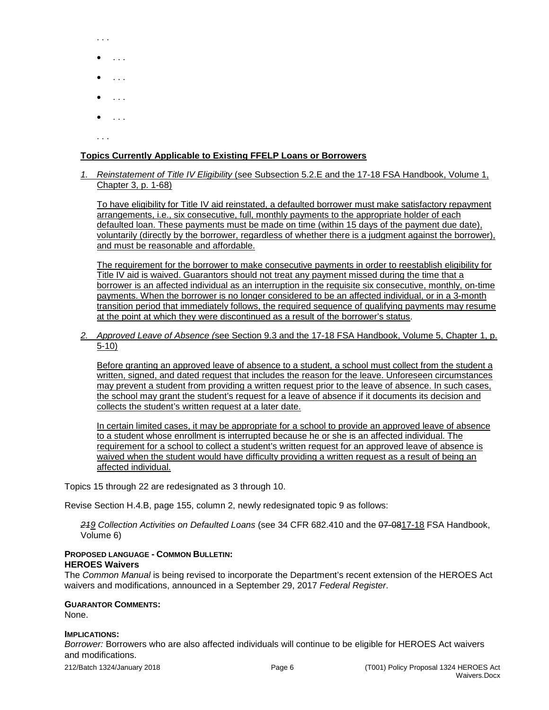- . . .
- . . .
- . . .
- . . .
- . . .

. . .

# **Topics Currently Applicable to Existing FFELP Loans or Borrowers**

*1. Reinstatement of Title IV Eligibility* (see Subsection 5.2.E and the 17-18 FSA Handbook, Volume 1, Chapter 3, p. 1-68)

To have eligibility for Title IV aid reinstated, a defaulted borrower must make satisfactory repayment arrangements, i.e., six consecutive, full, monthly payments to the appropriate holder of each defaulted loan. These payments must be made on time (within 15 days of the payment due date), voluntarily (directly by the borrower, regardless of whether there is a judgment against the borrower), and must be reasonable and affordable.

The requirement for the borrower to make consecutive payments in order to reestablish eligibility for Title IV aid is waived. Guarantors should not treat any payment missed during the time that a borrower is an affected individual as an interruption in the requisite six consecutive, monthly, on-time payments. When the borrower is no longer considered to be an affected individual, or in a 3-month transition period that immediately follows, the required sequence of qualifying payments may resume at the point at which they were discontinued as a result of the borrower's status.

*2. Approved Leave of Absence (*see Section 9.3 and the 17-18 FSA Handbook, Volume 5, Chapter 1, p. 5-10)

Before granting an approved leave of absence to a student, a school must collect from the student a written, signed, and dated request that includes the reason for the leave. Unforeseen circumstances may prevent a student from providing a written request prior to the leave of absence. In such cases, the school may grant the student's request for a leave of absence if it documents its decision and collects the student's written request at a later date.

In certain limited cases, it may be appropriate for a school to provide an approved leave of absence to a student whose enrollment is interrupted because he or she is an affected individual. The requirement for a school to collect a student's written request for an approved leave of absence is waived when the student would have difficulty providing a written request as a result of being an affected individual.

Topics 15 through 22 are redesignated as 3 through 10.

Revise Section H.4.B, page 155, column 2, newly redesignated topic 9 as follows:

*219 Collection Activities on Defaulted Loans* (see 34 CFR 682.410 and the 07-0817-18 FSA Handbook, Volume 6)

# **PROPOSED LANGUAGE - COMMON BULLETIN: HEROES Waivers**

The *Common Manual* is being revised to incorporate the Department's recent extension of the HEROES Act waivers and modifications, announced in a September 29, 2017 *Federal Register*.

#### **GUARANTOR COMMENTS:**

None.

#### **IMPLICATIONS:**

*Borrower:* Borrowers who are also affected individuals will continue to be eligible for HEROES Act waivers and modifications.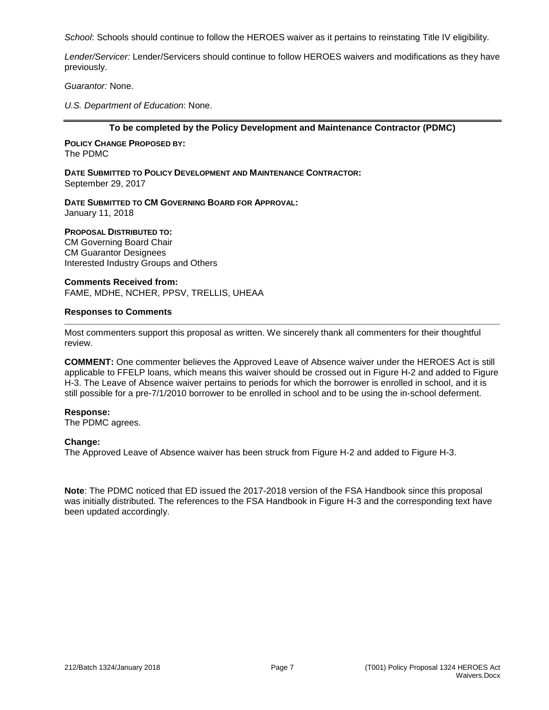*School*: Schools should continue to follow the HEROES waiver as it pertains to reinstating Title IV eligibility.

*Lender/Servicer:* Lender/Servicers should continue to follow HEROES waivers and modifications as they have previously.

*Guarantor:* None.

*U.S. Department of Education*: None.

#### **To be completed by the Policy Development and Maintenance Contractor (PDMC)**

**POLICY CHANGE PROPOSED BY:** The PDMC

**DATE SUBMITTED TO POLICY DEVELOPMENT AND MAINTENANCE CONTRACTOR:** September 29, 2017

**DATE SUBMITTED TO CM GOVERNING BOARD FOR APPROVAL:** January 11, 2018

# **PROPOSAL DISTRIBUTED TO:**

CM Governing Board Chair CM Guarantor Designees Interested Industry Groups and Others

**Comments Received from:** FAME, MDHE, NCHER, PPSV, TRELLIS, UHEAA

#### **Responses to Comments**

Most commenters support this proposal as written. We sincerely thank all commenters for their thoughtful review.

**COMMENT:** One commenter believes the Approved Leave of Absence waiver under the HEROES Act is still applicable to FFELP loans, which means this waiver should be crossed out in Figure H-2 and added to Figure H-3. The Leave of Absence waiver pertains to periods for which the borrower is enrolled in school, and it is still possible for a pre-7/1/2010 borrower to be enrolled in school and to be using the in-school deferment.

## **Response:**

The PDMC agrees.

## **Change:**

The Approved Leave of Absence waiver has been struck from Figure H-2 and added to Figure H-3.

**Note**: The PDMC noticed that ED issued the 2017-2018 version of the FSA Handbook since this proposal was initially distributed. The references to the FSA Handbook in Figure H-3 and the corresponding text have been updated accordingly.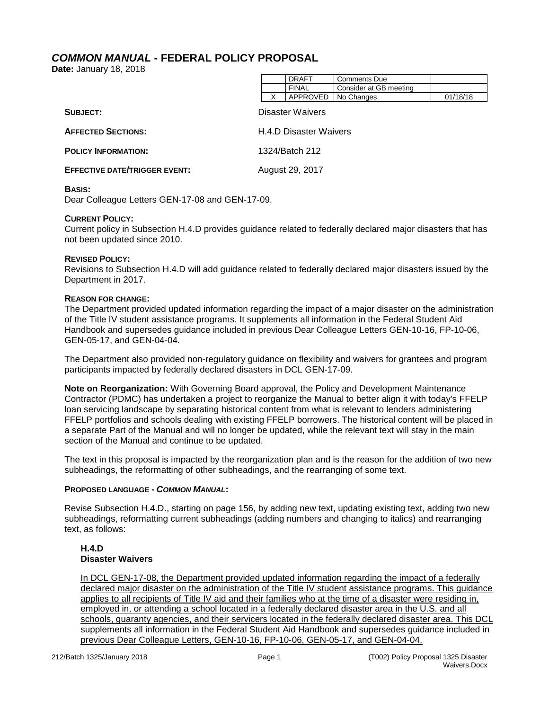# <span id="page-8-0"></span>*COMMON MANUAL* **- FEDERAL POLICY PROPOSAL**

**Date:** January 18, 2018

|                                      |   | <b>FINAL</b>                  | Consider at GB meeting |          |
|--------------------------------------|---|-------------------------------|------------------------|----------|
|                                      | x | APPROVED                      | No Changes             | 01/18/18 |
| SUBJECT:                             |   | Disaster Waivers              |                        |          |
| <b>AFFECTED SECTIONS:</b>            |   | <b>H.4.D Disaster Waivers</b> |                        |          |
| <b>POLICY INFORMATION:</b>           |   | 1324/Batch 212                |                        |          |
| <b>EFFECTIVE DATE/TRIGGER EVENT:</b> |   | August 29, 2017               |                        |          |
|                                      |   |                               |                        |          |

DRAFT | Comments Due

## **BASIS:**

Dear Colleague Letters GEN-17-08 and GEN-17-09.

#### **CURRENT POLICY:**

Current policy in Subsection H.4.D provides guidance related to federally declared major disasters that has not been updated since 2010.

#### **REVISED POLICY:**

Revisions to Subsection H.4.D will add guidance related to federally declared major disasters issued by the Department in 2017.

#### **REASON FOR CHANGE:**

The Department provided updated information regarding the impact of a major disaster on the administration of the Title IV student assistance programs. It supplements all information in the Federal Student Aid Handbook and supersedes guidance included in previous Dear Colleague Letters GEN-10-16, FP-10-06, GEN-05-17, and GEN-04-04.

The Department also provided non-regulatory guidance on flexibility and waivers for grantees and program participants impacted by federally declared disasters in DCL GEN-17-09.

**Note on Reorganization:** With Governing Board approval, the Policy and Development Maintenance Contractor (PDMC) has undertaken a project to reorganize the Manual to better align it with today's FFELP loan servicing landscape by separating historical content from what is relevant to lenders administering FFELP portfolios and schools dealing with existing FFELP borrowers. The historical content will be placed in a separate Part of the Manual and will no longer be updated, while the relevant text will stay in the main section of the Manual and continue to be updated.

The text in this proposal is impacted by the reorganization plan and is the reason for the addition of two new subheadings, the reformatting of other subheadings, and the rearranging of some text.

## **PROPOSED LANGUAGE -** *COMMON MANUAL***:**

Revise Subsection H.4.D., starting on page 156, by adding new text, updating existing text, adding two new subheadings, reformatting current subheadings (adding numbers and changing to italics) and rearranging text, as follows:

# **H.4.D Disaster Waivers**

In DCL GEN-17-08, the Department provided updated information regarding the impact of a federally declared major disaster on the administration of the Title IV student assistance programs. This guidance applies to all recipients of Title IV aid and their families who at the time of a disaster were residing in, employed in, or attending a school located in a federally declared disaster area in the U.S. and all schools, guaranty agencies, and their servicers located in the federally declared disaster area. This DCL supplements all information in the Federal Student Aid Handbook and supersedes guidance included in previous Dear Colleague Letters, GEN-10-16, FP-10-06, GEN-05-17, and GEN-04-04.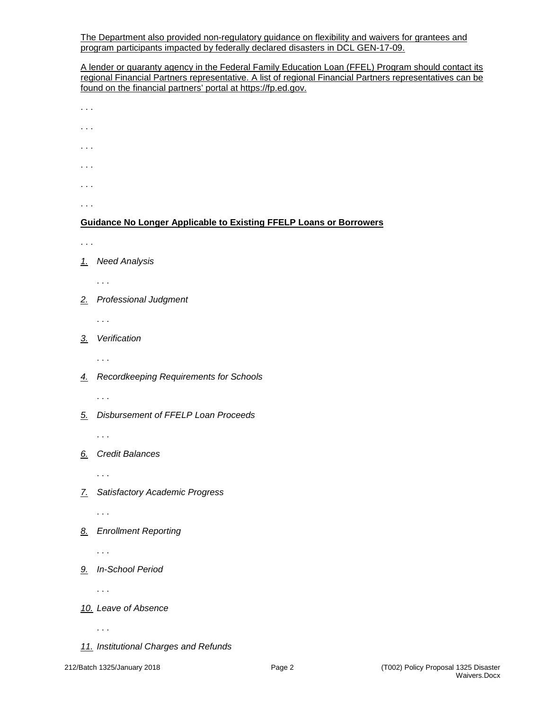The Department also provided non-regulatory guidance on flexibility and waivers for grantees and program participants impacted by federally declared disasters in DCL GEN-17-09.

A lender or guaranty agency in the Federal Family Education Loan (FFEL) Program should contact its regional Financial Partners representative. A list of regional Financial Partners representatives can be found on the financial partners' portal at https://fp.ed.gov.

- . . .
- . . .
- . . .
- 
- . . .
- . . .

. . .

# **Guidance No Longer Applicable to Existing FFELP Loans or Borrowers**

- . . .
- *1. Need Analysis*
	- . . .
- *2. Professional Judgment*

. . .

*3. Verification*

. . .

*4. Recordkeeping Requirements for Schools*

. . .

*5. Disbursement of FFELP Loan Proceeds*

. . .

# *6. Credit Balances*

. . .

*7. Satisfactory Academic Progress*

. . .

*8. Enrollment Reporting*

. . .

*9. In-School Period*

. . .

- *10. Leave of Absence*
	- . . .
- *11. Institutional Charges and Refunds*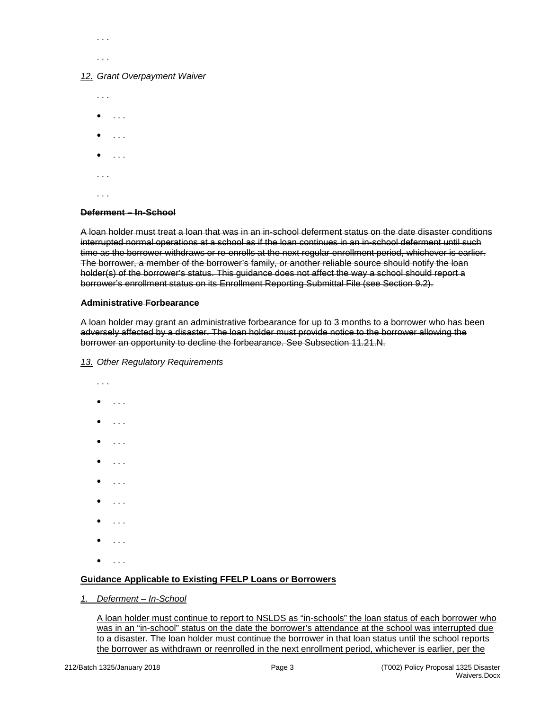. . . . . .

#### *12. Grant Overpayment Waiver*

. . .  $\bullet$  . . . . • . . .  $\bullet$  . . . . . . . . . .

# **Deferment – In-School**

A loan holder must treat a loan that was in an in-school deferment status on the date disaster conditions interrupted normal operations at a school as if the loan continues in an in-school deferment until such time as the borrower withdraws or re-enrolls at the next regular enrollment period, whichever is earlier. The borrower, a member of the borrower's family, or another reliable source should notify the loan holder(s) of the borrower's status. This guidance does not affect the way a school should report a borrower's enrollment status on its Enrollment Reporting Submittal File (see Section 9.2).

#### **Administrative Forbearance**

A loan holder may grant an administrative forbearance for up to 3 months to a borrower who has been adversely affected by a disaster. The loan holder must provide notice to the borrower allowing the borrower an opportunity to decline the forbearance. See Subsection 11.21.N.

#### *13. Other Regulatory Requirements*

. . .  $\bullet$  . . . . • . . .  $\bullet$  . . . . • . . . • . . . • . . . • . . . • . . . • . . .

# **Guidance Applicable to Existing FFELP Loans or Borrowers**

*1. Deferment – In-School*

A loan holder must continue to report to NSLDS as "in-schools" the loan status of each borrower who was in an "in-school" status on the date the borrower's attendance at the school was interrupted due to a disaster. The loan holder must continue the borrower in that loan status until the school reports the borrower as withdrawn or reenrolled in the next enrollment period, whichever is earlier, per the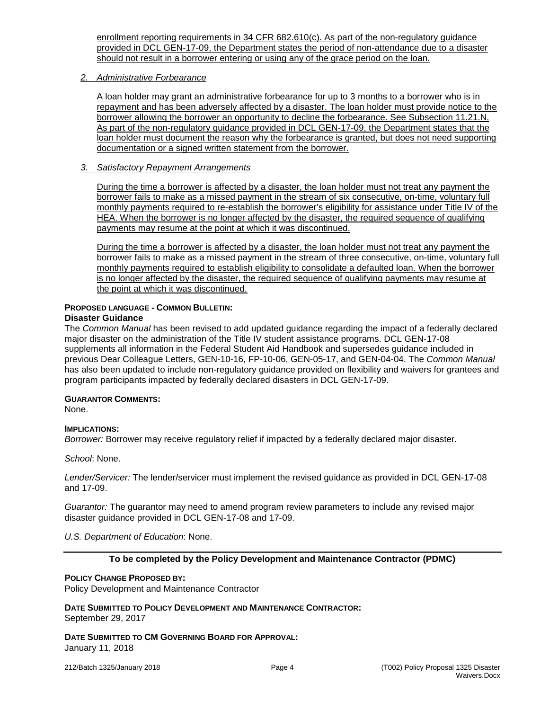enrollment reporting requirements in 34 CFR 682.610(c). As part of the non-regulatory guidance provided in DCL GEN-17-09, the Department states the period of non-attendance due to a disaster should not result in a borrower entering or using any of the grace period on the loan.

# *2. Administrative Forbearance*

A loan holder may grant an administrative forbearance for up to 3 months to a borrower who is in repayment and has been adversely affected by a disaster. The loan holder must provide notice to the borrower allowing the borrower an opportunity to decline the forbearance. See Subsection 11.21.N. As part of the non-regulatory guidance provided in DCL GEN-17-09, the Department states that the loan holder must document the reason why the forbearance is granted, but does not need supporting documentation or a signed written statement from the borrower.

# *3. Satisfactory Repayment Arrangements*

During the time a borrower is affected by a disaster, the loan holder must not treat any payment the borrower fails to make as a missed payment in the stream of six consecutive, on-time, voluntary full monthly payments required to re-establish the borrower's eligibility for assistance under Title IV of the HEA. When the borrower is no longer affected by the disaster, the required sequence of qualifying payments may resume at the point at which it was discontinued.

During the time a borrower is affected by a disaster, the loan holder must not treat any payment the borrower fails to make as a missed payment in the stream of three consecutive, on-time, voluntary full monthly payments required to establish eligibility to consolidate a defaulted loan. When the borrower is no longer affected by the disaster, the required sequence of qualifying payments may resume at the point at which it was discontinued.

#### **PROPOSED LANGUAGE - COMMON BULLETIN: Disaster Guidance**

The *Common Manual* has been revised to add updated guidance regarding the impact of a federally declared major disaster on the administration of the Title IV student assistance programs. DCL GEN-17-08 supplements all information in the Federal Student Aid Handbook and supersedes guidance included in previous Dear Colleague Letters, GEN-10-16, FP-10-06, GEN-05-17, and GEN-04-04. The *Common Manual* has also been updated to include non-regulatory guidance provided on flexibility and waivers for grantees and program participants impacted by federally declared disasters in DCL GEN-17-09.

# **GUARANTOR COMMENTS:**

None.

# **IMPLICATIONS:**

*Borrower:* Borrower may receive regulatory relief if impacted by a federally declared major disaster.

*School*: None.

*Lender/Servicer:* The lender/servicer must implement the revised guidance as provided in DCL GEN-17-08 and 17-09.

*Guarantor:* The guarantor may need to amend program review parameters to include any revised major disaster guidance provided in DCL GEN-17-08 and 17-09.

# *U.S. Department of Education*: None.

# **To be completed by the Policy Development and Maintenance Contractor (PDMC)**

## **POLICY CHANGE PROPOSED BY:**

Policy Development and Maintenance Contractor

#### **DATE SUBMITTED TO POLICY DEVELOPMENT AND MAINTENANCE CONTRACTOR:** September 29, 2017

**DATE SUBMITTED TO CM GOVERNING BOARD FOR APPROVAL:** January 11, 2018